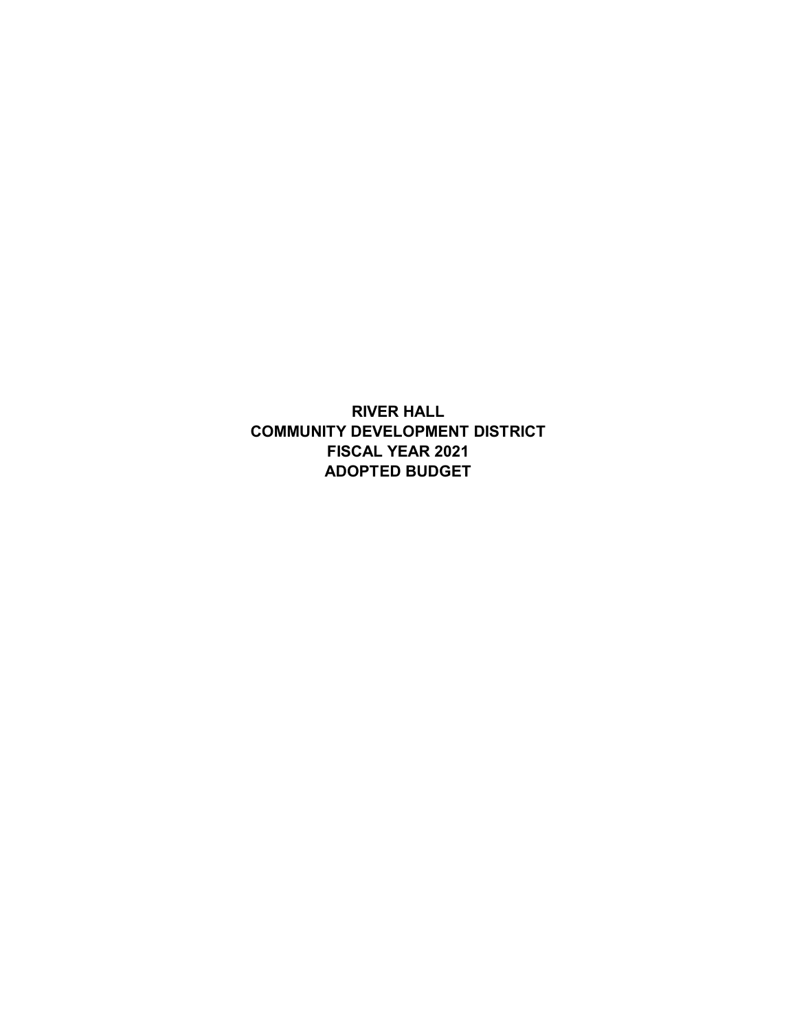**RIVER HALL COMMUNITY DEVELOPMENT DISTRICT FISCAL YEAR 2021 ADOPTED BUDGET**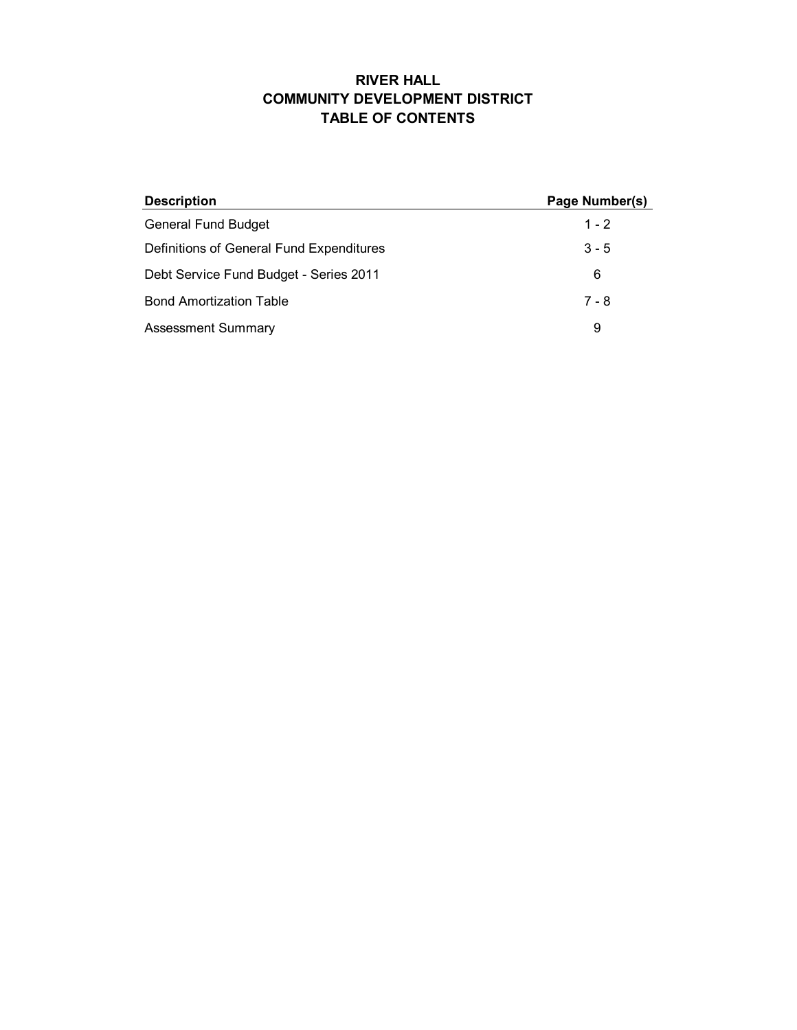### **RIVER HALL COMMUNITY DEVELOPMENT DISTRICT TABLE OF CONTENTS**

| <b>Description</b>                       | Page Number(s) |
|------------------------------------------|----------------|
| <b>General Fund Budget</b>               | $1 - 2$        |
| Definitions of General Fund Expenditures | $3 - 5$        |
| Debt Service Fund Budget - Series 2011   | 6              |
| <b>Bond Amortization Table</b>           | $7 - 8$        |
| <b>Assessment Summary</b>                | 9              |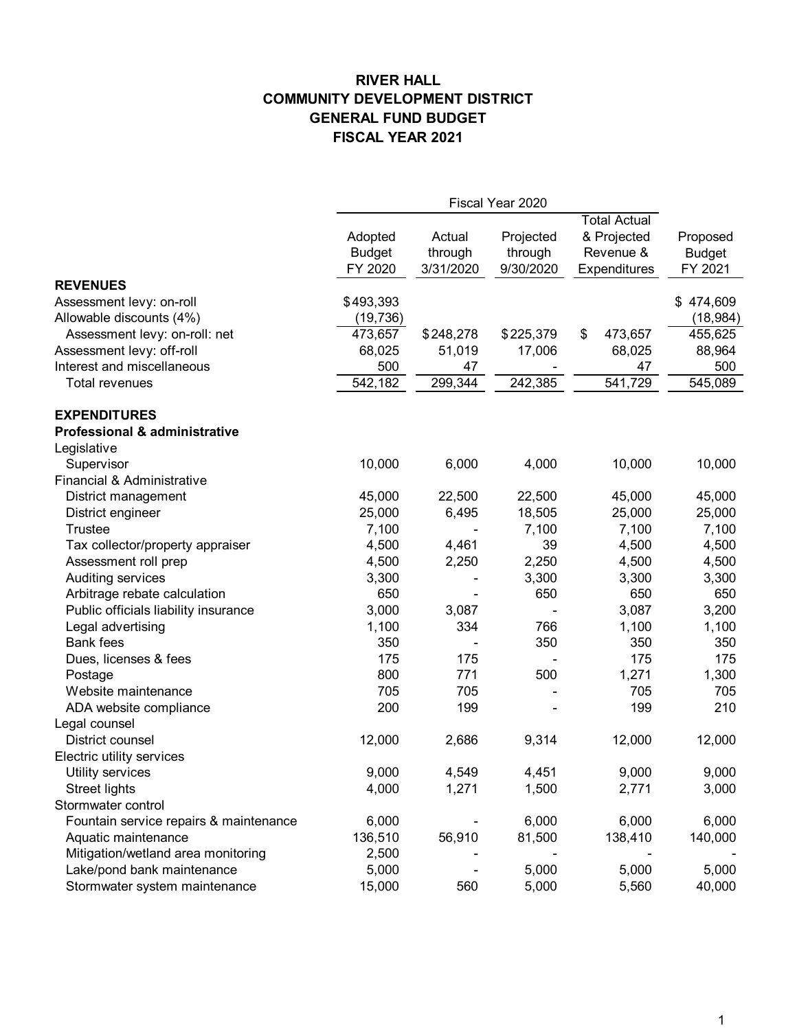## **RIVER HALL COMMUNITY DEVELOPMENT DISTRICT GENERAL FUND BUDGET FISCAL YEAR 2021**

|                                          | Fiscal Year 2020 |           |           |                     |               |  |
|------------------------------------------|------------------|-----------|-----------|---------------------|---------------|--|
|                                          |                  |           |           | <b>Total Actual</b> |               |  |
|                                          | Adopted          | Actual    | Projected | & Projected         | Proposed      |  |
|                                          | <b>Budget</b>    | through   | through   | Revenue &           | <b>Budget</b> |  |
|                                          | FY 2020          | 3/31/2020 | 9/30/2020 | Expenditures        | FY 2021       |  |
| <b>REVENUES</b>                          |                  |           |           |                     |               |  |
| Assessment levy: on-roll                 | \$493,393        |           |           |                     | \$474,609     |  |
| Allowable discounts (4%)                 | (19, 736)        |           |           |                     | (18, 984)     |  |
| Assessment levy: on-roll: net            | 473,657          | \$248,278 | \$225,379 | \$<br>473,657       | 455,625       |  |
| Assessment levy: off-roll                | 68,025           | 51,019    | 17,006    | 68,025              | 88,964        |  |
| Interest and miscellaneous               | 500              | 47        |           | 47                  | 500           |  |
| <b>Total revenues</b>                    | 542, 182         | 299,344   | 242,385   | 541,729             | 545,089       |  |
| <b>EXPENDITURES</b>                      |                  |           |           |                     |               |  |
| <b>Professional &amp; administrative</b> |                  |           |           |                     |               |  |
| Legislative                              |                  |           |           |                     |               |  |
| Supervisor                               | 10,000           | 6,000     | 4,000     | 10,000              | 10,000        |  |
| Financial & Administrative               |                  |           |           |                     |               |  |
| District management                      | 45,000           | 22,500    | 22,500    | 45,000              | 45,000        |  |
| District engineer                        | 25,000           | 6,495     | 18,505    | 25,000              | 25,000        |  |
| <b>Trustee</b>                           | 7,100            |           | 7,100     | 7,100               | 7,100         |  |
| Tax collector/property appraiser         | 4,500            | 4,461     | 39        | 4,500               | 4,500         |  |
| Assessment roll prep                     | 4,500            | 2,250     | 2,250     | 4,500               | 4,500         |  |
| Auditing services                        | 3,300            |           | 3,300     | 3,300               | 3,300         |  |
| Arbitrage rebate calculation             | 650              |           | 650       | 650                 | 650           |  |
| Public officials liability insurance     | 3,000            | 3,087     |           | 3,087               | 3,200         |  |
| Legal advertising                        | 1,100            | 334       | 766       | 1,100               | 1,100         |  |
| <b>Bank fees</b>                         | 350              |           | 350       | 350                 | 350           |  |
| Dues, licenses & fees                    | 175              | 175       |           | 175                 | 175           |  |
| Postage                                  | 800              | 771       | 500       | 1,271               | 1,300         |  |
| Website maintenance                      | 705              | 705       |           | 705                 | 705           |  |
| ADA website compliance                   | 200              | 199       |           | 199                 | 210           |  |
| Legal counsel                            |                  |           |           |                     |               |  |
| District counsel                         | 12,000           | 2,686     | 9,314     | 12,000              | 12,000        |  |
| Electric utility services                |                  |           |           |                     |               |  |
| Utility services                         | 9,000            | 4,549     | 4,451     | 9,000               | 9,000         |  |
| <b>Street lights</b>                     | 4,000            | 1,271     | 1,500     | 2,771               | 3,000         |  |
| Stormwater control                       |                  |           |           |                     |               |  |
| Fountain service repairs & maintenance   | 6,000            |           | 6,000     | 6,000               | 6,000         |  |
| Aquatic maintenance                      | 136,510          | 56,910    | 81,500    | 138,410             | 140,000       |  |
| Mitigation/wetland area monitoring       | 2,500            |           |           |                     |               |  |
| Lake/pond bank maintenance               | 5,000            |           | 5,000     | 5,000               | 5,000         |  |
| Stormwater system maintenance            | 15,000           | 560       | 5,000     | 5,560               | 40,000        |  |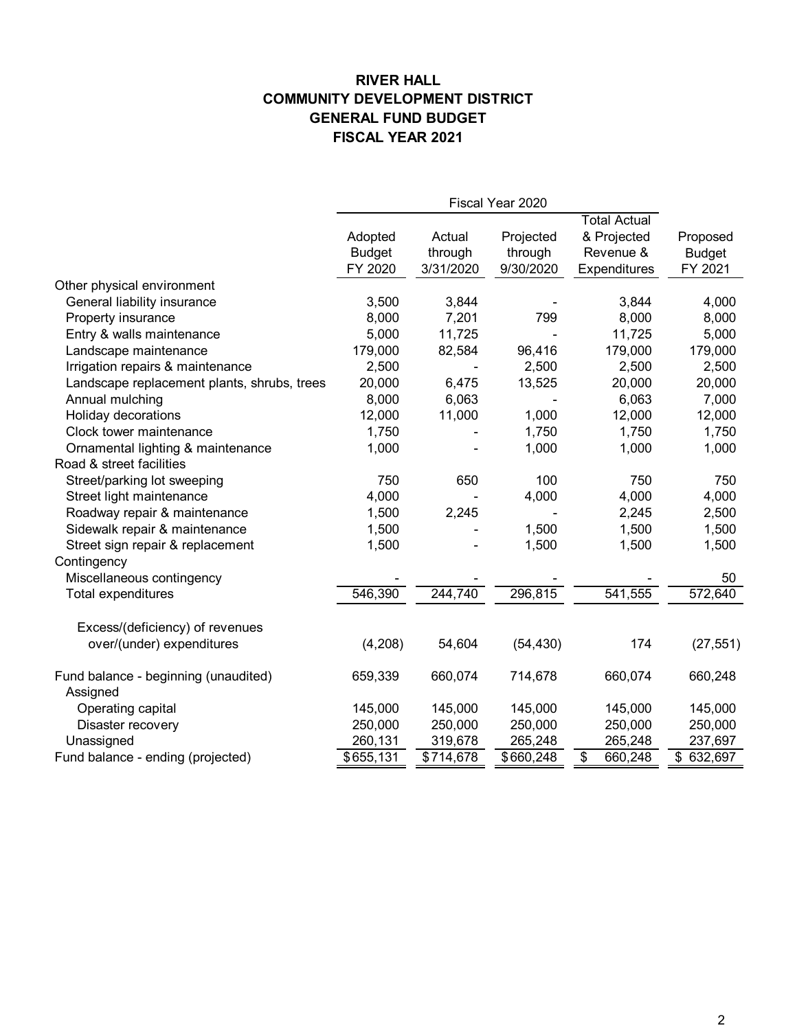## **RIVER HALL COMMUNITY DEVELOPMENT DISTRICT GENERAL FUND BUDGET FISCAL YEAR 2021**

|                                                  | Fiscal Year 2020 |           |           |                                    |                   |  |  |
|--------------------------------------------------|------------------|-----------|-----------|------------------------------------|-------------------|--|--|
|                                                  |                  |           |           | <b>Total Actual</b>                |                   |  |  |
|                                                  | Adopted          | Actual    | Projected | & Projected                        | Proposed          |  |  |
|                                                  | <b>Budget</b>    | through   | through   | Revenue &                          | <b>Budget</b>     |  |  |
|                                                  | FY 2020          | 3/31/2020 | 9/30/2020 | <b>Expenditures</b>                | FY 2021           |  |  |
| Other physical environment                       |                  |           |           |                                    |                   |  |  |
| General liability insurance                      | 3,500            | 3,844     |           | 3,844                              | 4,000             |  |  |
| Property insurance                               | 8,000            | 7,201     | 799       | 8,000                              | 8,000             |  |  |
| Entry & walls maintenance                        | 5,000            | 11,725    |           | 11,725                             | 5,000             |  |  |
| Landscape maintenance                            | 179,000          | 82,584    | 96,416    | 179,000                            | 179,000           |  |  |
| Irrigation repairs & maintenance                 | 2,500            |           | 2,500     | 2,500                              | 2,500             |  |  |
| Landscape replacement plants, shrubs, trees      | 20,000           | 6,475     | 13,525    | 20,000                             | 20,000            |  |  |
| Annual mulching                                  | 8,000            | 6,063     |           | 6,063                              | 7,000             |  |  |
| Holiday decorations                              | 12,000           | 11,000    | 1,000     | 12,000                             | 12,000            |  |  |
| Clock tower maintenance                          | 1,750            |           | 1,750     | 1,750                              | 1,750             |  |  |
| Ornamental lighting & maintenance                | 1,000            |           | 1,000     | 1,000                              | 1,000             |  |  |
| Road & street facilities                         |                  |           |           |                                    |                   |  |  |
| Street/parking lot sweeping                      | 750              | 650       | 100       | 750                                | 750               |  |  |
| Street light maintenance                         | 4,000            |           | 4,000     | 4,000                              | 4,000             |  |  |
| Roadway repair & maintenance                     | 1,500            | 2,245     |           | 2,245                              | 2,500             |  |  |
| Sidewalk repair & maintenance                    | 1,500            |           | 1,500     | 1,500                              | 1,500             |  |  |
| Street sign repair & replacement                 | 1,500            |           | 1,500     | 1,500                              | 1,500             |  |  |
| Contingency                                      |                  |           |           |                                    |                   |  |  |
| Miscellaneous contingency                        |                  |           |           |                                    | 50                |  |  |
| Total expenditures                               | 546,390          | 244,740   | 296,815   | 541,555                            | 572,640           |  |  |
| Excess/(deficiency) of revenues                  |                  |           |           |                                    |                   |  |  |
| over/(under) expenditures                        | (4,208)          | 54,604    | (54, 430) | 174                                | (27, 551)         |  |  |
| Fund balance - beginning (unaudited)<br>Assigned | 659,339          | 660,074   | 714,678   | 660,074                            | 660,248           |  |  |
| Operating capital                                | 145,000          | 145,000   | 145,000   | 145,000                            | 145,000           |  |  |
| Disaster recovery                                | 250,000          | 250,000   | 250,000   | 250,000                            | 250,000           |  |  |
| Unassigned                                       | 260,131          | 319,678   | 265,248   | 265,248                            | 237,697           |  |  |
| Fund balance - ending (projected)                | \$655,131        | \$714,678 | \$660,248 | $\overline{\mathbf{e}}$<br>660,248 | $\sqrt{$}632,697$ |  |  |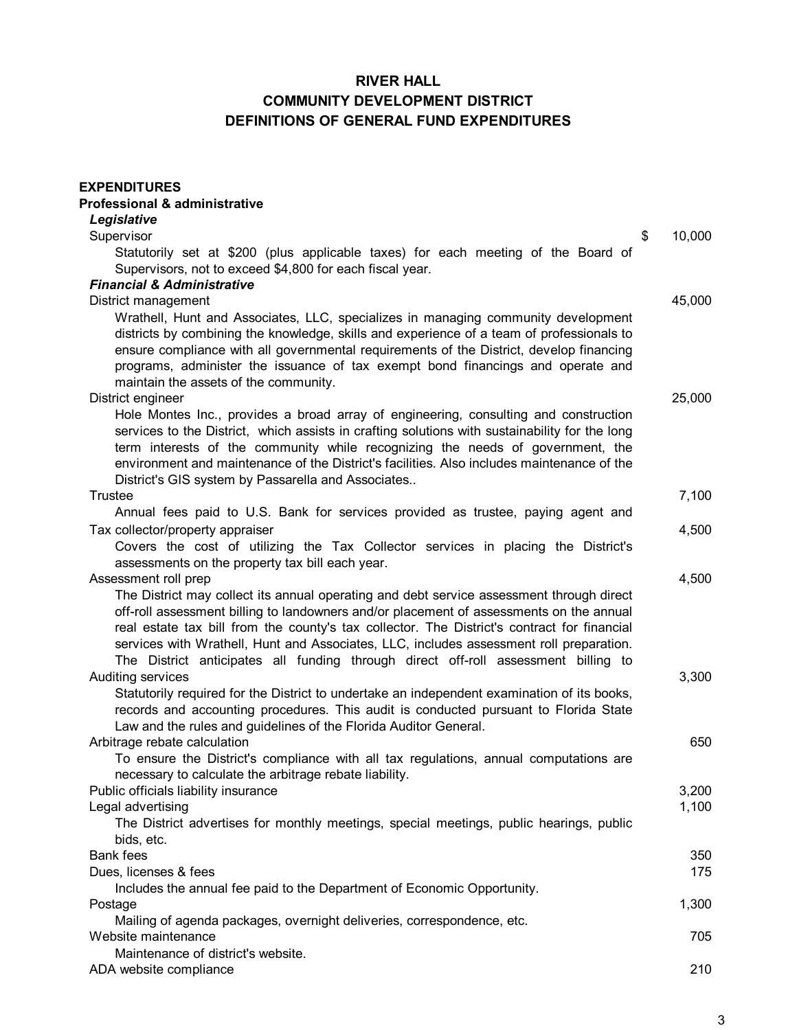# **RIVER HALL COMMUNITY DEVELOPMENT DISTRICT DEFINITIONS OF GENERAL FUND EXPENDITURES**

| <b>EXPENDITURES</b><br><b>Professional &amp; administrative</b>                                                       |              |
|-----------------------------------------------------------------------------------------------------------------------|--------------|
| Legislative                                                                                                           |              |
| Supervisor                                                                                                            | \$<br>10,000 |
| Statutorily set at \$200 (plus applicable taxes) for each meeting of the Board of                                     |              |
| Supervisors, not to exceed \$4,800 for each fiscal year.                                                              |              |
| <b>Financial &amp; Administrative</b>                                                                                 |              |
| District management                                                                                                   | 45,000       |
| Wrathell, Hunt and Associates, LLC, specializes in managing community development                                     |              |
| districts by combining the knowledge, skills and experience of a team of professionals to                             |              |
| ensure compliance with all governmental requirements of the District, develop financing                               |              |
| programs, administer the issuance of tax exempt bond financings and operate and                                       |              |
| maintain the assets of the community.                                                                                 |              |
| District engineer                                                                                                     | 25,000       |
| Hole Montes Inc., provides a broad array of engineering, consulting and construction                                  |              |
| services to the District, which assists in crafting solutions with sustainability for the long                        |              |
| term interests of the community while recognizing the needs of government, the                                        |              |
| environment and maintenance of the District's facilities. Also includes maintenance of the                            |              |
| District's GIS system by Passarella and Associates                                                                    |              |
| Trustee                                                                                                               | 7,100        |
| Annual fees paid to U.S. Bank for services provided as trustee, paying agent and                                      | 4,500        |
| Tax collector/property appraiser<br>Covers the cost of utilizing the Tax Collector services in placing the District's |              |
| assessments on the property tax bill each year.                                                                       |              |
| Assessment roll prep                                                                                                  | 4,500        |
| The District may collect its annual operating and debt service assessment through direct                              |              |
| off-roll assessment billing to landowners and/or placement of assessments on the annual                               |              |
| real estate tax bill from the county's tax collector. The District's contract for financial                           |              |
| services with Wrathell, Hunt and Associates, LLC, includes assessment roll preparation.                               |              |
| The District anticipates all funding through direct off-roll assessment billing to                                    |              |
| Auditing services                                                                                                     | 3,300        |
| Statutorily required for the District to undertake an independent examination of its books,                           |              |
| records and accounting procedures. This audit is conducted pursuant to Florida State                                  |              |
| Law and the rules and guidelines of the Florida Auditor General.                                                      |              |
| Arbitrage rebate calculation                                                                                          | 650          |
| To ensure the District's compliance with all tax regulations, annual computations are                                 |              |
| necessary to calculate the arbitrage rebate liability.                                                                |              |
| Public officials liability insurance                                                                                  | 3,200        |
| Legal advertising                                                                                                     | 1,100        |
| The District advertises for monthly meetings, special meetings, public hearings, public                               |              |
| bids, etc.                                                                                                            |              |
| <b>Bank fees</b>                                                                                                      | 350          |
| Dues, licenses & fees                                                                                                 | 175          |
| Includes the annual fee paid to the Department of Economic Opportunity.                                               |              |
| Postage                                                                                                               | 1,300        |
| Mailing of agenda packages, overnight deliveries, correspondence, etc.<br>Website maintenance                         | 705          |
| Maintenance of district's website.                                                                                    |              |
| ADA website compliance                                                                                                | 210          |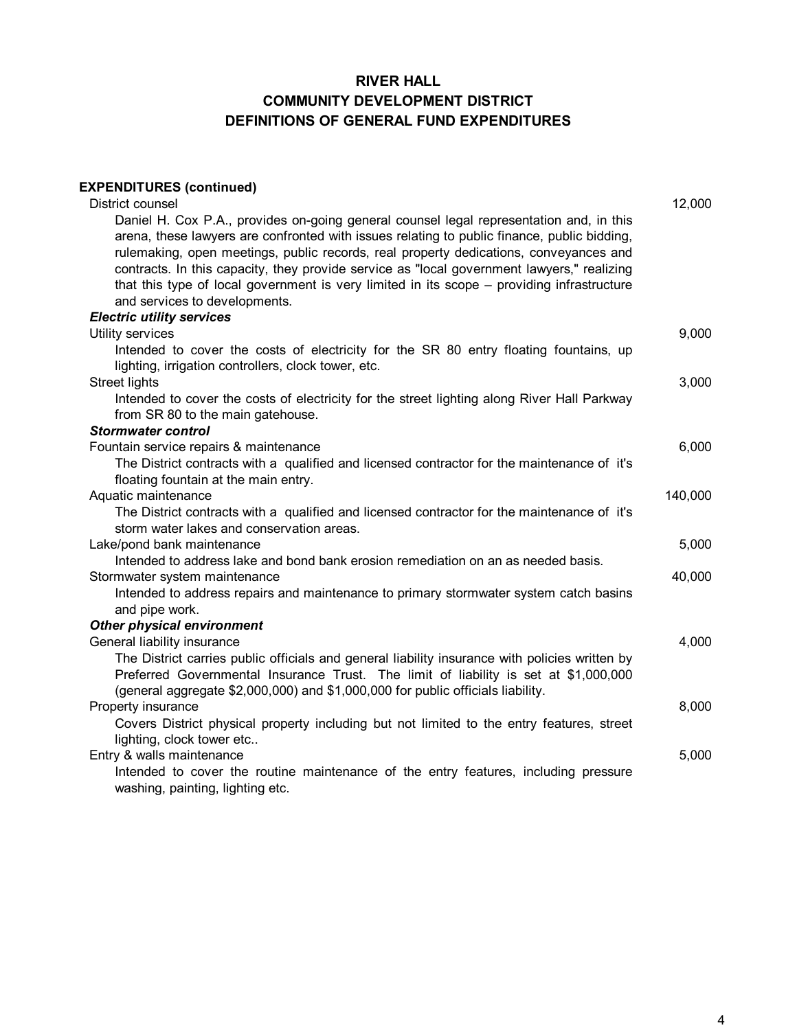## **RIVER HALL COMMUNITY DEVELOPMENT DISTRICT DEFINITIONS OF GENERAL FUND EXPENDITURES**

| <b>EXPENDITURES (continued)</b>                                                                                                                                                        |         |
|----------------------------------------------------------------------------------------------------------------------------------------------------------------------------------------|---------|
| District counsel                                                                                                                                                                       | 12,000  |
| Daniel H. Cox P.A., provides on-going general counsel legal representation and, in this<br>arena, these lawyers are confronted with issues relating to public finance, public bidding, |         |
| rulemaking, open meetings, public records, real property dedications, conveyances and                                                                                                  |         |
| contracts. In this capacity, they provide service as "local government lawyers," realizing                                                                                             |         |
| that this type of local government is very limited in its scope - providing infrastructure<br>and services to developments.                                                            |         |
| <b>Electric utility services</b>                                                                                                                                                       |         |
| Utility services                                                                                                                                                                       | 9,000   |
| Intended to cover the costs of electricity for the SR 80 entry floating fountains, up                                                                                                  |         |
| lighting, irrigation controllers, clock tower, etc.                                                                                                                                    |         |
| <b>Street lights</b>                                                                                                                                                                   | 3,000   |
| Intended to cover the costs of electricity for the street lighting along River Hall Parkway                                                                                            |         |
| from SR 80 to the main gatehouse.                                                                                                                                                      |         |
| <b>Stormwater control</b>                                                                                                                                                              |         |
| Fountain service repairs & maintenance                                                                                                                                                 | 6,000   |
| The District contracts with a qualified and licensed contractor for the maintenance of it's                                                                                            |         |
| floating fountain at the main entry.                                                                                                                                                   |         |
| Aquatic maintenance                                                                                                                                                                    | 140,000 |
| The District contracts with a qualified and licensed contractor for the maintenance of it's                                                                                            |         |
| storm water lakes and conservation areas.                                                                                                                                              |         |
| Lake/pond bank maintenance                                                                                                                                                             | 5,000   |
| Intended to address lake and bond bank erosion remediation on an as needed basis.                                                                                                      |         |
| Stormwater system maintenance                                                                                                                                                          | 40,000  |
| Intended to address repairs and maintenance to primary stormwater system catch basins                                                                                                  |         |
| and pipe work.                                                                                                                                                                         |         |
| <b>Other physical environment</b>                                                                                                                                                      |         |
| General liability insurance                                                                                                                                                            | 4,000   |
| The District carries public officials and general liability insurance with policies written by                                                                                         |         |
| Preferred Governmental Insurance Trust. The limit of liability is set at \$1,000,000                                                                                                   |         |
| (general aggregate \$2,000,000) and \$1,000,000 for public officials liability.                                                                                                        |         |
| Property insurance                                                                                                                                                                     | 8,000   |
| Covers District physical property including but not limited to the entry features, street                                                                                              |         |
| lighting, clock tower etc                                                                                                                                                              |         |
| Entry & walls maintenance                                                                                                                                                              | 5,000   |
| Intended to cover the routine maintenance of the entry features, including pressure                                                                                                    |         |
| washing, painting, lighting etc.                                                                                                                                                       |         |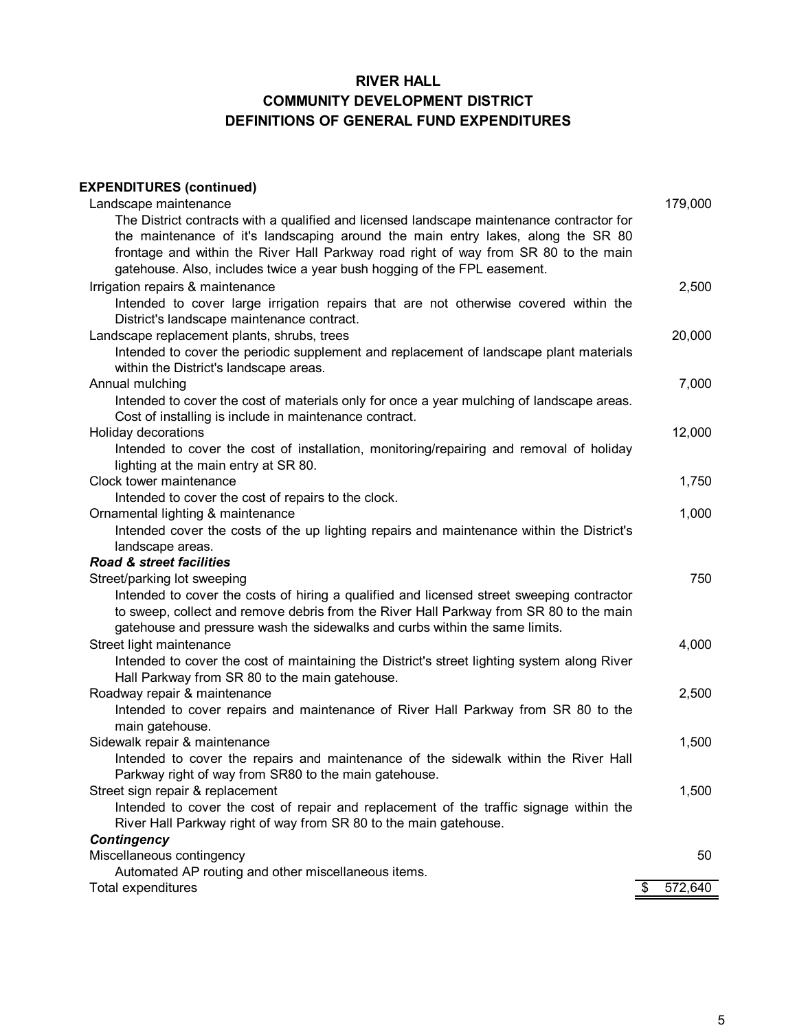# **RIVER HALL COMMUNITY DEVELOPMENT DISTRICT DEFINITIONS OF GENERAL FUND EXPENDITURES**

| <b>EXPENDITURES (continued)</b>                                                                                                    |               |
|------------------------------------------------------------------------------------------------------------------------------------|---------------|
| Landscape maintenance                                                                                                              | 179,000       |
| The District contracts with a qualified and licensed landscape maintenance contractor for                                          |               |
| the maintenance of it's landscaping around the main entry lakes, along the SR 80                                                   |               |
| frontage and within the River Hall Parkway road right of way from SR 80 to the main                                                |               |
| gatehouse. Also, includes twice a year bush hogging of the FPL easement.                                                           |               |
| Irrigation repairs & maintenance                                                                                                   | 2,500         |
| Intended to cover large irrigation repairs that are not otherwise covered within the<br>District's landscape maintenance contract. |               |
| Landscape replacement plants, shrubs, trees                                                                                        | 20,000        |
| Intended to cover the periodic supplement and replacement of landscape plant materials                                             |               |
| within the District's landscape areas.                                                                                             |               |
| Annual mulching                                                                                                                    | 7,000         |
| Intended to cover the cost of materials only for once a year mulching of landscape areas.                                          |               |
| Cost of installing is include in maintenance contract.                                                                             |               |
| Holiday decorations                                                                                                                | 12,000        |
| Intended to cover the cost of installation, monitoring/repairing and removal of holiday                                            |               |
| lighting at the main entry at SR 80.                                                                                               |               |
| Clock tower maintenance                                                                                                            | 1,750         |
| Intended to cover the cost of repairs to the clock.                                                                                |               |
| Ornamental lighting & maintenance                                                                                                  | 1,000         |
| Intended cover the costs of the up lighting repairs and maintenance within the District's                                          |               |
| landscape areas.                                                                                                                   |               |
| Road & street facilities                                                                                                           |               |
| Street/parking lot sweeping                                                                                                        | 750           |
| Intended to cover the costs of hiring a qualified and licensed street sweeping contractor                                          |               |
| to sweep, collect and remove debris from the River Hall Parkway from SR 80 to the main                                             |               |
|                                                                                                                                    |               |
| gatehouse and pressure wash the sidewalks and curbs within the same limits.                                                        |               |
| Street light maintenance                                                                                                           | 4,000         |
| Intended to cover the cost of maintaining the District's street lighting system along River                                        |               |
| Hall Parkway from SR 80 to the main gatehouse.                                                                                     |               |
| Roadway repair & maintenance                                                                                                       | 2,500         |
| Intended to cover repairs and maintenance of River Hall Parkway from SR 80 to the                                                  |               |
| main gatehouse.                                                                                                                    |               |
| Sidewalk repair & maintenance                                                                                                      | 1,500         |
| Intended to cover the repairs and maintenance of the sidewalk within the River Hall                                                |               |
| Parkway right of way from SR80 to the main gatehouse.                                                                              |               |
| Street sign repair & replacement                                                                                                   | 1,500         |
| Intended to cover the cost of repair and replacement of the traffic signage within the                                             |               |
| River Hall Parkway right of way from SR 80 to the main gatehouse.                                                                  |               |
| <b>Contingency</b>                                                                                                                 |               |
| Miscellaneous contingency                                                                                                          | 50            |
| Automated AP routing and other miscellaneous items.                                                                                |               |
| Total expenditures                                                                                                                 | \$<br>572,640 |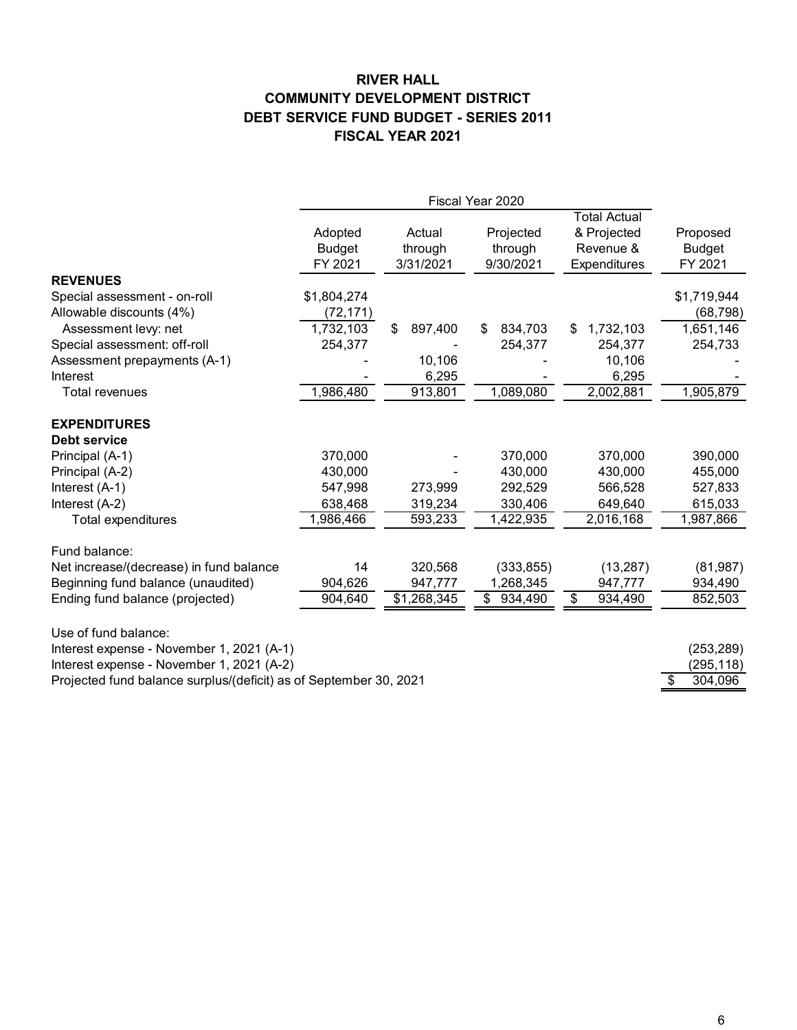#### **RIVER HALL DEBT SERVICE FUND BUDGET - SERIES 2011 FISCAL YEAR 2021 COMMUNITY DEVELOPMENT DISTRICT**

|                                                                   | Adopted<br><b>Budget</b><br>FY 2021 | Actual<br>through<br>3/31/2021 | Projected<br>through<br>9/30/2021 | <b>Total Actual</b><br>& Projected<br>Revenue &<br>Expenditures | Proposed<br><b>Budget</b><br>FY 2021 |
|-------------------------------------------------------------------|-------------------------------------|--------------------------------|-----------------------------------|-----------------------------------------------------------------|--------------------------------------|
| <b>REVENUES</b>                                                   |                                     |                                |                                   |                                                                 |                                      |
| Special assessment - on-roll                                      | \$1,804,274                         |                                |                                   |                                                                 | \$1,719,944                          |
| Allowable discounts (4%)                                          | (72, 171)                           |                                |                                   |                                                                 | (68,798)                             |
| Assessment levy: net                                              | 1,732,103                           | 897,400<br>\$                  | \$<br>834,703                     | 1,732,103<br>\$                                                 | 1,651,146                            |
| Special assessment: off-roll                                      | 254,377                             |                                | 254,377                           | 254,377                                                         | 254,733                              |
| Assessment prepayments (A-1)                                      |                                     | 10,106                         |                                   | 10,106                                                          |                                      |
| Interest                                                          |                                     | 6,295                          |                                   | 6,295                                                           |                                      |
| <b>Total revenues</b>                                             | 1,986,480                           | 913,801                        | 1,089,080                         | 2,002,881                                                       | 1,905,879                            |
| <b>EXPENDITURES</b><br>Debt service                               |                                     |                                |                                   |                                                                 |                                      |
| Principal (A-1)                                                   | 370,000                             |                                | 370,000                           | 370,000                                                         | 390,000                              |
| Principal (A-2)                                                   | 430,000                             |                                | 430,000                           | 430,000                                                         | 455,000                              |
| Interest (A-1)                                                    | 547,998                             | 273,999                        | 292,529                           | 566,528                                                         | 527,833                              |
| Interest (A-2)                                                    | 638,468                             | 319,234                        | 330,406                           | 649,640                                                         | 615,033                              |
| Total expenditures                                                | ,986,466                            | 593,233                        | 1,422,935                         | 2,016,168                                                       | 1,987,866                            |
| Fund balance:                                                     |                                     |                                |                                   |                                                                 |                                      |
| Net increase/(decrease) in fund balance                           | 14                                  | 320,568                        | (333, 855)                        | (13, 287)                                                       | (81, 987)                            |
| Beginning fund balance (unaudited)                                | 904,626                             | 947,777                        | 1,268,345                         | 947,777                                                         | 934,490                              |
| Ending fund balance (projected)                                   | 904,640                             | $\overline{$}1,268,345$        | \$<br>934,490                     | \$<br>934,490                                                   | 852,503                              |
| Use of fund balance:                                              |                                     |                                |                                   |                                                                 |                                      |
| Interest expense - November 1, 2021 (A-1)                         |                                     |                                |                                   |                                                                 | (253, 289)                           |
| Interest expense - November 1, 2021 (A-2)                         |                                     |                                |                                   |                                                                 | (295, 118)                           |
| Projected fund balance surplus/(deficit) as of September 30, 2021 |                                     |                                |                                   |                                                                 | 304,096<br>S                         |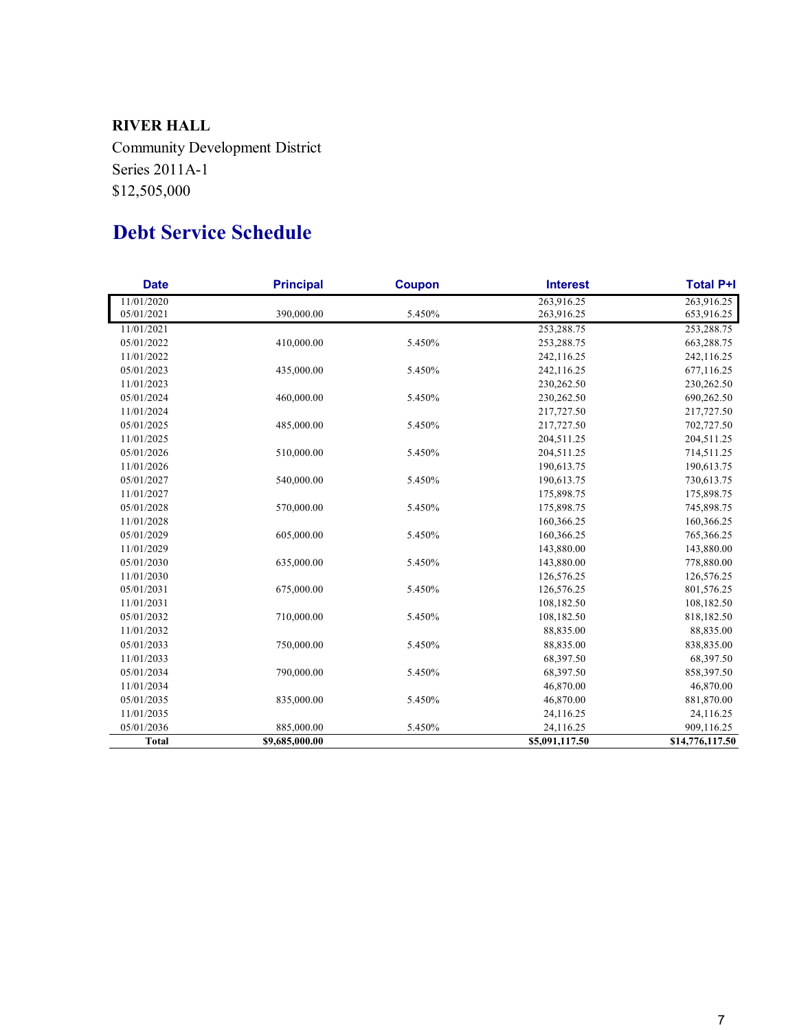## **RIVER HALL**

Community Development District Series 2011A-1 \$12,505,000

# **Debt Service Schedule**

| <b>Date</b>  | <b>Principal</b><br><b>Coupon</b><br><b>Interest</b> |        | <b>Total P+I</b> |                 |
|--------------|------------------------------------------------------|--------|------------------|-----------------|
| 11/01/2020   |                                                      |        | 263,916.25       | 263,916.25      |
| 05/01/2021   | 390,000.00                                           | 5.450% | 263,916.25       | 653,916.25      |
| 11/01/2021   |                                                      |        | 253,288.75       | 253,288.75      |
| 05/01/2022   | 410,000.00                                           | 5.450% | 253,288.75       | 663,288.75      |
| 11/01/2022   |                                                      |        | 242,116.25       | 242,116.25      |
| 05/01/2023   | 435,000.00                                           | 5.450% | 242,116.25       | 677,116.25      |
| 11/01/2023   |                                                      |        | 230,262.50       | 230,262.50      |
| 05/01/2024   | 460,000.00                                           | 5.450% | 230,262.50       | 690,262.50      |
| 11/01/2024   |                                                      |        | 217,727.50       | 217,727.50      |
| 05/01/2025   | 485,000.00                                           | 5.450% | 217,727.50       | 702,727.50      |
| 11/01/2025   |                                                      |        | 204,511.25       | 204,511.25      |
| 05/01/2026   | 510,000.00                                           | 5.450% | 204,511.25       | 714,511.25      |
| 11/01/2026   |                                                      |        | 190,613.75       | 190,613.75      |
| 05/01/2027   | 540,000.00                                           | 5.450% | 190,613.75       | 730,613.75      |
| 11/01/2027   |                                                      |        | 175,898.75       | 175,898.75      |
| 05/01/2028   | 570,000.00                                           | 5.450% | 175,898.75       | 745,898.75      |
| 11/01/2028   |                                                      |        | 160,366.25       | 160,366.25      |
| 05/01/2029   | 605,000.00                                           | 5.450% | 160,366.25       | 765,366.25      |
| 11/01/2029   |                                                      |        | 143,880.00       | 143,880.00      |
| 05/01/2030   | 635,000.00                                           | 5.450% | 143,880.00       | 778,880.00      |
| 11/01/2030   |                                                      |        | 126,576.25       | 126,576.25      |
| 05/01/2031   | 675,000.00                                           | 5.450% | 126,576.25       | 801,576.25      |
| 11/01/2031   |                                                      |        | 108,182.50       | 108,182.50      |
| 05/01/2032   | 710,000.00                                           | 5.450% | 108,182.50       | 818,182.50      |
| 11/01/2032   |                                                      |        | 88,835.00        | 88,835.00       |
| 05/01/2033   | 750,000.00                                           | 5.450% | 88,835.00        | 838,835.00      |
| 11/01/2033   |                                                      |        | 68,397.50        | 68,397.50       |
| 05/01/2034   | 790,000.00                                           | 5.450% | 68,397.50        | 858,397.50      |
| 11/01/2034   |                                                      |        | 46,870.00        | 46,870.00       |
| 05/01/2035   | 835,000.00                                           | 5.450% | 46,870.00        | 881,870.00      |
| 11/01/2035   |                                                      |        | 24,116.25        | 24,116.25       |
| 05/01/2036   | 885,000.00                                           | 5.450% | 24,116.25        | 909,116.25      |
| <b>Total</b> | \$9,685,000.00                                       |        | \$5,091,117.50   | \$14,776,117.50 |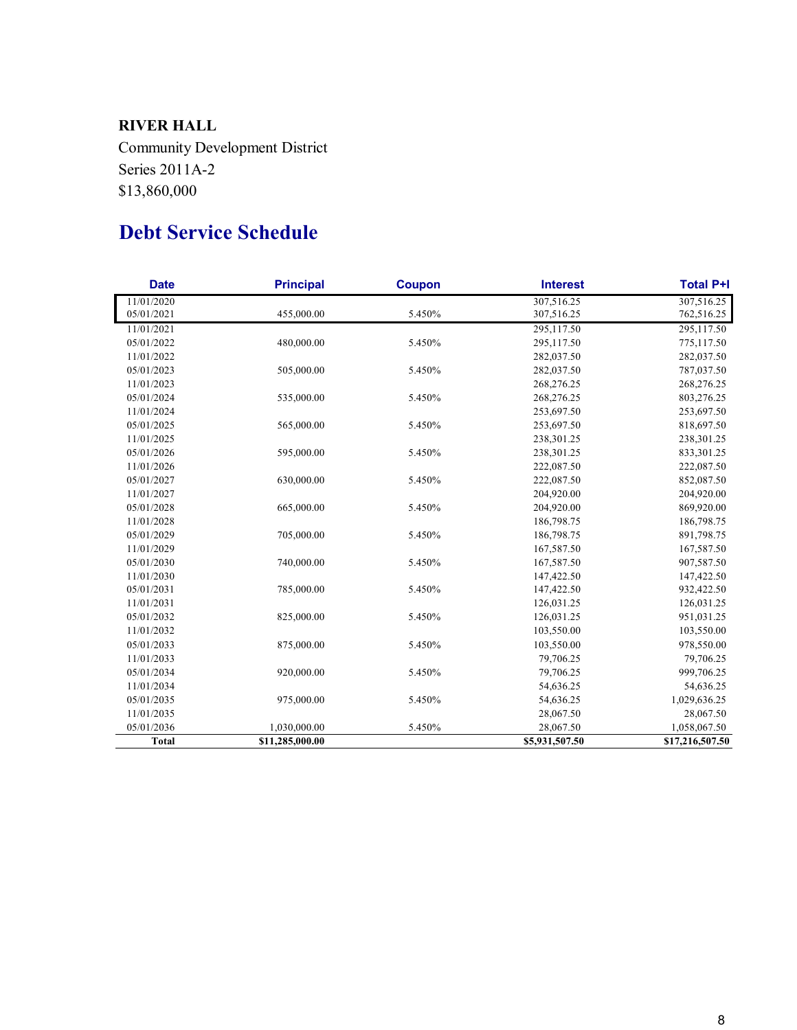# **RIVER HALL**

Community Development District Series 2011A-2 \$13,860,000

# **Debt Service Schedule**

| <b>Date</b>  | <b>Principal</b><br><b>Coupon</b><br><b>Interest</b> |        | <b>Total P+I</b> |                 |
|--------------|------------------------------------------------------|--------|------------------|-----------------|
| 11/01/2020   |                                                      |        | 307,516.25       | 307,516.25      |
| 05/01/2021   | 455,000.00                                           | 5.450% | 307,516.25       | 762,516.25      |
| 11/01/2021   |                                                      |        | 295,117.50       | 295,117.50      |
| 05/01/2022   | 480,000.00                                           | 5.450% | 295,117.50       | 775,117.50      |
| 11/01/2022   |                                                      |        | 282,037.50       | 282,037.50      |
| 05/01/2023   | 505,000.00                                           | 5.450% | 282,037.50       | 787,037.50      |
| 11/01/2023   |                                                      |        | 268,276.25       | 268,276.25      |
| 05/01/2024   | 535,000.00                                           | 5.450% | 268,276.25       | 803,276.25      |
| 11/01/2024   |                                                      |        | 253,697.50       | 253,697.50      |
| 05/01/2025   | 565,000.00                                           | 5.450% | 253,697.50       | 818,697.50      |
| 11/01/2025   |                                                      |        | 238,301.25       | 238,301.25      |
| 05/01/2026   | 595,000.00                                           | 5.450% | 238,301.25       | 833,301.25      |
| 11/01/2026   |                                                      |        | 222,087.50       | 222,087.50      |
| 05/01/2027   | 630,000.00                                           | 5.450% | 222,087.50       | 852,087.50      |
| 11/01/2027   |                                                      |        | 204,920.00       | 204,920.00      |
| 05/01/2028   | 665,000.00                                           | 5.450% | 204,920.00       | 869,920.00      |
| 11/01/2028   |                                                      |        | 186,798.75       | 186,798.75      |
| 05/01/2029   | 705,000.00                                           | 5.450% | 186,798.75       | 891,798.75      |
| 11/01/2029   |                                                      |        | 167,587.50       | 167,587.50      |
| 05/01/2030   | 740,000.00                                           | 5.450% | 167,587.50       | 907,587.50      |
| 11/01/2030   |                                                      |        | 147,422.50       | 147,422.50      |
| 05/01/2031   | 785,000.00                                           | 5.450% | 147,422.50       | 932,422.50      |
| 11/01/2031   |                                                      |        | 126,031.25       | 126,031.25      |
| 05/01/2032   | 825,000.00                                           | 5.450% | 126,031.25       | 951,031.25      |
| 11/01/2032   |                                                      |        | 103,550.00       | 103,550.00      |
| 05/01/2033   | 875,000.00                                           | 5.450% | 103,550.00       | 978,550.00      |
| 11/01/2033   |                                                      |        | 79,706.25        | 79,706.25       |
| 05/01/2034   | 920,000.00                                           | 5.450% | 79,706.25        | 999,706.25      |
| 11/01/2034   |                                                      |        | 54,636.25        | 54,636.25       |
| 05/01/2035   | 975,000.00                                           | 5.450% | 54,636.25        | 1,029,636.25    |
| 11/01/2035   |                                                      |        | 28,067.50        | 28,067.50       |
| 05/01/2036   | 1,030,000.00                                         | 5.450% | 28,067.50        | 1,058,067.50    |
| <b>Total</b> | \$11,285,000.00                                      |        | \$5,931,507.50   | \$17,216,507.50 |